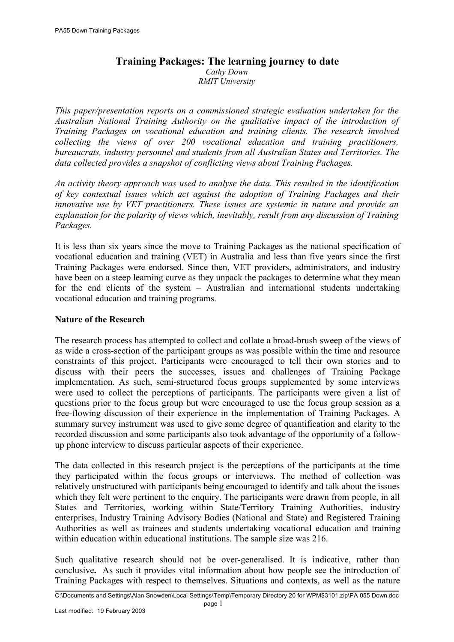# **Training Packages: The learning journey to date**

*Cathy Down RMIT University*

*This paper/presentation reports on a commissioned strategic evaluation undertaken for the Australian National Training Authority on the qualitative impact of the introduction of Training Packages on vocational education and training clients. The research involved collecting the views of over 200 vocational education and training practitioners, bureaucrats, industry personnel and students from all Australian States and Territories. The data collected provides a snapshot of conflicting views about Training Packages.*

*An activity theory approach was used to analyse the data. This resulted in the identification of key contextual issues which act against the adoption of Training Packages and their innovative use by VET practitioners. These issues are systemic in nature and provide an explanation for the polarity of views which, inevitably, result from any discussion of Training Packages.*

It is less than six years since the move to Training Packages as the national specification of vocational education and training (VET) in Australia and less than five years since the first Training Packages were endorsed. Since then, VET providers, administrators, and industry have been on a steep learning curve as they unpack the packages to determine what they mean for the end clients of the system – Australian and international students undertaking vocational education and training programs.

## **Nature of the Research**

The research process has attempted to collect and collate a broad-brush sweep of the views of as wide a cross-section of the participant groups as was possible within the time and resource constraints of this project. Participants were encouraged to tell their own stories and to discuss with their peers the successes, issues and challenges of Training Package implementation. As such, semi-structured focus groups supplemented by some interviews were used to collect the perceptions of participants. The participants were given a list of questions prior to the focus group but were encouraged to use the focus group session as a free-flowing discussion of their experience in the implementation of Training Packages. A summary survey instrument was used to give some degree of quantification and clarity to the recorded discussion and some participants also took advantage of the opportunity of a followup phone interview to discuss particular aspects of their experience.

The data collected in this research project is the perceptions of the participants at the time they participated within the focus groups or interviews. The method of collection was relatively unstructured with participants being encouraged to identify and talk about the issues which they felt were pertinent to the enquiry. The participants were drawn from people, in all States and Territories, working within State/Territory Training Authorities, industry enterprises, Industry Training Advisory Bodies (National and State) and Registered Training Authorities as well as trainees and students undertaking vocational education and training within education within educational institutions. The sample size was 216.

Such qualitative research should not be over-generalised. It is indicative, rather than conclusive**.** As such it provides vital information about how people see the introduction of Training Packages with respect to themselves. Situations and contexts, as well as the nature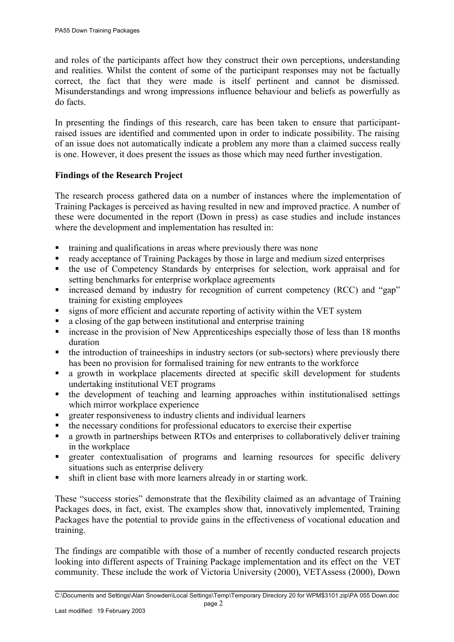and roles of the participants affect how they construct their own perceptions, understanding and realities. Whilst the content of some of the participant responses may not be factually correct, the fact that they were made is itself pertinent and cannot be dismissed. Misunderstandings and wrong impressions influence behaviour and beliefs as powerfully as do facts.

In presenting the findings of this research, care has been taken to ensure that participantraised issues are identified and commented upon in order to indicate possibility. The raising of an issue does not automatically indicate a problem any more than a claimed success really is one. However, it does present the issues as those which may need further investigation.

## **Findings of the Research Project**

The research process gathered data on a number of instances where the implementation of Training Packages is perceived as having resulted in new and improved practice. A number of these were documented in the report (Down in press) as case studies and include instances where the development and implementation has resulted in:

- training and qualifications in areas where previously there was none
- ready acceptance of Training Packages by those in large and medium sized enterprises
- the use of Competency Standards by enterprises for selection, work appraisal and for setting benchmarks for enterprise workplace agreements
- **increased demand by industry for recognition of current competency (RCC) and "gap"** training for existing employees
- signs of more efficient and accurate reporting of activity within the VET system
- a closing of the gap between institutional and enterprise training
- increase in the provision of New Apprenticeships especially those of less than 18 months duration
- $\blacksquare$  the introduction of traineeships in industry sectors (or sub-sectors) where previously there has been no provision for formalised training for new entrants to the workforce
- a growth in workplace placements directed at specific skill development for students undertaking institutional VET programs
- the development of teaching and learning approaches within institutionalised settings which mirror workplace experience
- greater responsiveness to industry clients and individual learners
- the necessary conditions for professional educators to exercise their expertise
- a growth in partnerships between RTOs and enterprises to collaboratively deliver training in the workplace
- greater contextualisation of programs and learning resources for specific delivery situations such as enterprise delivery
- shift in client base with more learners already in or starting work.

These "success stories" demonstrate that the flexibility claimed as an advantage of Training Packages does, in fact, exist. The examples show that, innovatively implemented, Training Packages have the potential to provide gains in the effectiveness of vocational education and training.

The findings are compatible with those of a number of recently conducted research projects looking into different aspects of Training Package implementation and its effect on the VET community. These include the work of Victoria University (2000), VETAssess (2000), Down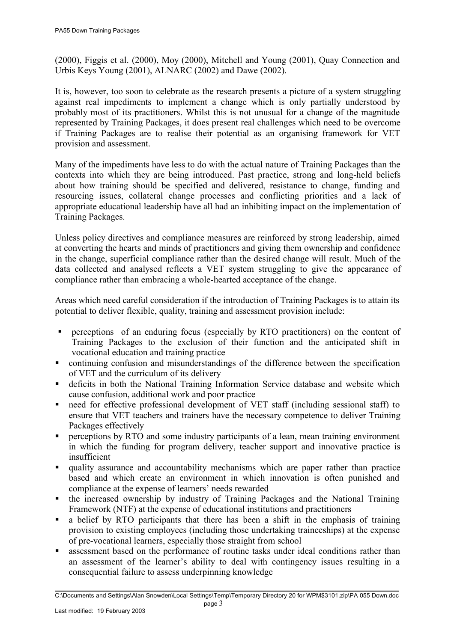(2000), Figgis et al. (2000), Moy (2000), Mitchell and Young (2001), Quay Connection and Urbis Keys Young (2001), ALNARC (2002) and Dawe (2002).

It is, however, too soon to celebrate as the research presents a picture of a system struggling against real impediments to implement a change which is only partially understood by probably most of its practitioners. Whilst this is not unusual for a change of the magnitude represented by Training Packages, it does present real challenges which need to be overcome if Training Packages are to realise their potential as an organising framework for VET provision and assessment.

Many of the impediments have less to do with the actual nature of Training Packages than the contexts into which they are being introduced. Past practice, strong and long-held beliefs about how training should be specified and delivered, resistance to change, funding and resourcing issues, collateral change processes and conflicting priorities and a lack of appropriate educational leadership have all had an inhibiting impact on the implementation of Training Packages.

Unless policy directives and compliance measures are reinforced by strong leadership, aimed at converting the hearts and minds of practitioners and giving them ownership and confidence in the change, superficial compliance rather than the desired change will result. Much of the data collected and analysed reflects a VET system struggling to give the appearance of compliance rather than embracing a whole-hearted acceptance of the change.

Areas which need careful consideration if the introduction of Training Packages is to attain its potential to deliver flexible, quality, training and assessment provision include:

- perceptions of an enduring focus (especially by RTO practitioners) on the content of Training Packages to the exclusion of their function and the anticipated shift in vocational education and training practice
- continuing confusion and misunderstandings of the difference between the specification of VET and the curriculum of its delivery
- deficits in both the National Training Information Service database and website which cause confusion, additional work and poor practice
- need for effective professional development of VET staff (including sessional staff) to ensure that VET teachers and trainers have the necessary competence to deliver Training Packages effectively
- **PERCEPTIONS** by RTO and some industry participants of a lean, mean training environment in which the funding for program delivery, teacher support and innovative practice is insufficient
- quality assurance and accountability mechanisms which are paper rather than practice based and which create an environment in which innovation is often punished and compliance at the expense of learners' needs rewarded
- the increased ownership by industry of Training Packages and the National Training Framework (NTF) at the expense of educational institutions and practitioners
- a belief by RTO participants that there has been a shift in the emphasis of training provision to existing employees (including those undertaking traineeships) at the expense of pre-vocational learners, especially those straight from school
- **assessment based on the performance of routine tasks under ideal conditions rather than** an assessment of the learner's ability to deal with contingency issues resulting in a consequential failure to assess underpinning knowledge

C:\Documents and Settings\Alan Snowden\Local Settings\Temp\Temporary Directory 20 for WPM\$3101.zip\PA 055 Down.doc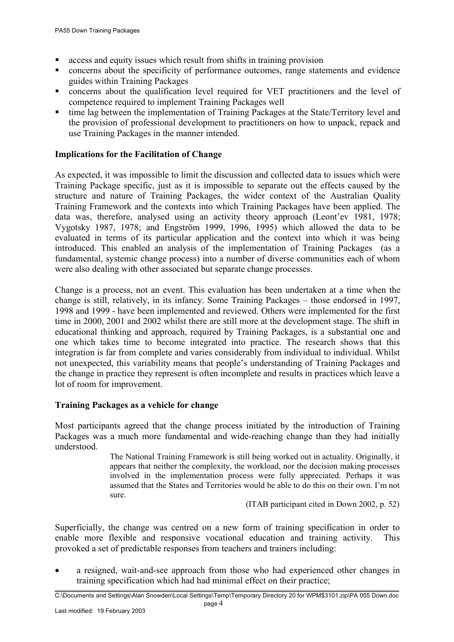- access and equity issues which result from shifts in training provision
- concerns about the specificity of performance outcomes, range statements and evidence guides within Training Packages
- concerns about the qualification level required for VET practitioners and the level of competence required to implement Training Packages well
- time lag between the implementation of Training Packages at the State/Territory level and the provision of professional development to practitioners on how to unpack, repack and use Training Packages in the manner intended.

## **Implications for the Facilitation of Change**

As expected, it was impossible to limit the discussion and collected data to issues which were Training Package specific, just as it is impossible to separate out the effects caused by the structure and nature of Training Packages, the wider context of the Australian Quality Training Framework and the contexts into which Training Packages have been applied. The data was, therefore, analysed using an activity theory approach (Leont'ev 1981, 1978; Vygotsky 1987, 1978; and Engström 1999, 1996, 1995) which allowed the data to be evaluated in terms of its particular application and the context into which it was being introduced. This enabled an analysis of the implementation of Training Packages (as a fundamental, systemic change process) into a number of diverse communities each of whom were also dealing with other associated but separate change processes.

Change is a process, not an event. This evaluation has been undertaken at a time when the change is still, relatively, in its infancy. Some Training Packages – those endorsed in 1997, 1998 and 1999 - have been implemented and reviewed. Others were implemented for the first time in 2000, 2001 and 2002 whilst there are still more at the development stage. The shift in educational thinking and approach, required by Training Packages, is a substantial one and one which takes time to become integrated into practice. The research shows that this integration is far from complete and varies considerably from individual to individual. Whilst not unexpected, this variability means that people's understanding of Training Packages and the change in practice they represent is often incomplete and results in practices which leave a lot of room for improvement.

## **Training Packages as a vehicle for change**

Most participants agreed that the change process initiated by the introduction of Training Packages was a much more fundamental and wide-reaching change than they had initially understood.

The National Training Framework is still being worked out in actuality. Originally, it appears that neither the complexity, the workload, nor the decision making processes involved in the implementation process were fully appreciated. Perhaps it was assumed that the States and Territories would be able to do this on their own. I'm not sure.

(ITAB participant cited in Down 2002, p. 52)

Superficially, the change was centred on a new form of training specification in order to enable more flexible and responsive vocational education and training activity. This provoked a set of predictable responses from teachers and trainers including:

 a resigned, wait-and-see approach from those who had experienced other changes in training specification which had had minimal effect on their practice;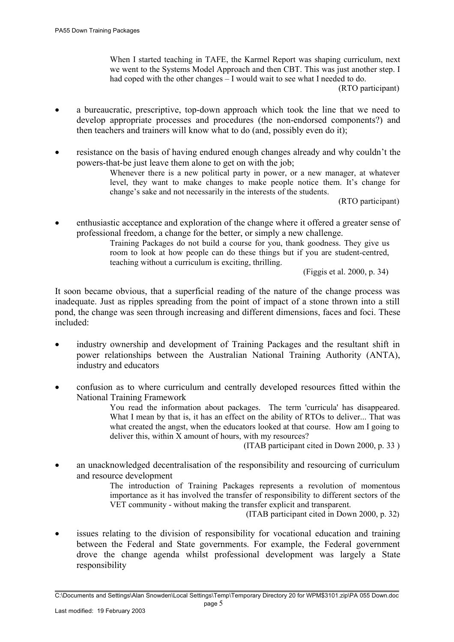When I started teaching in TAFE, the Karmel Report was shaping curriculum, next we went to the Systems Model Approach and then CBT. This was just another step. I had coped with the other changes – I would wait to see what I needed to do.

(RTO participant)

- a bureaucratic, prescriptive, top-down approach which took the line that we need to develop appropriate processes and procedures (the non-endorsed components?) and then teachers and trainers will know what to do (and, possibly even do it);
- resistance on the basis of having endured enough changes already and why couldn't the powers-that-be just leave them alone to get on with the job;

Whenever there is a new political party in power, or a new manager, at whatever level, they want to make changes to make people notice them. It's change for change's sake and not necessarily in the interests of the students.

(RTO participant)

 enthusiastic acceptance and exploration of the change where it offered a greater sense of professional freedom, a change for the better, or simply a new challenge.

Training Packages do not build a course for you, thank goodness. They give us room to look at how people can do these things but if you are student-centred, teaching without a curriculum is exciting, thrilling.

(Figgis et al. 2000, p. 34)

It soon became obvious, that a superficial reading of the nature of the change process was inadequate. Just as ripples spreading from the point of impact of a stone thrown into a still pond, the change was seen through increasing and different dimensions, faces and foci. These included:

- industry ownership and development of Training Packages and the resultant shift in power relationships between the Australian National Training Authority (ANTA), industry and educators
- confusion as to where curriculum and centrally developed resources fitted within the National Training Framework

You read the information about packages. The term 'curricula' has disappeared. What I mean by that is, it has an effect on the ability of RTOs to deliver... That was what created the angst, when the educators looked at that course. How am I going to deliver this, within X amount of hours, with my resources?

(ITAB participant cited in Down 2000, p. 33 )

 an unacknowledged decentralisation of the responsibility and resourcing of curriculum and resource development

The introduction of Training Packages represents a revolution of momentous importance as it has involved the transfer of responsibility to different sectors of the VET community - without making the transfer explicit and transparent.

(ITAB participant cited in Down 2000, p. 32)

 issues relating to the division of responsibility for vocational education and training between the Federal and State governments. For example, the Federal government drove the change agenda whilst professional development was largely a State responsibility

C:\Documents and Settings\Alan Snowden\Local Settings\Temp\Temporary Directory 20 for WPM\$3101.zip\PA 055 Down.doc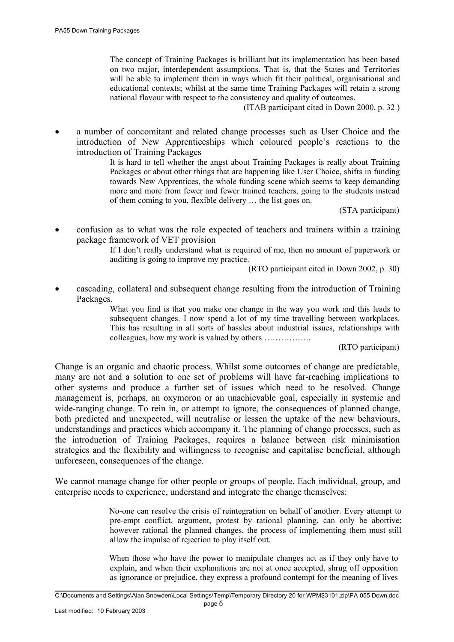The concept of Training Packages is brilliant but its implementation has been based on two major, interdependent assumptions. That is, that the States and Territories will be able to implement them in ways which fit their political, organisational and educational contexts; whilst at the same time Training Packages will retain a strong national flavour with respect to the consistency and quality of outcomes.

(ITAB participant cited in Down 2000, p. 32 )

 a number of concomitant and related change processes such as User Choice and the introduction of New Apprenticeships which coloured people's reactions to the introduction of Training Packages

It is hard to tell whether the angst about Training Packages is really about Training Packages or about other things that are happening like User Choice, shifts in funding towards New Apprentices, the whole funding scene which seems to keep demanding more and more from fewer and fewer trained teachers, going to the students instead of them coming to you, flexible delivery … the list goes on.

(STA participant)

- confusion as to what was the role expected of teachers and trainers within a training package framework of VET provision
	- If I don't really understand what is required of me, then no amount of paperwork or auditing is going to improve my practice.

(RTO participant cited in Down 2002, p. 30)

 cascading, collateral and subsequent change resulting from the introduction of Training Packages.

> What you find is that you make one change in the way you work and this leads to subsequent changes. I now spend a lot of my time travelling between workplaces. This has resulting in all sorts of hassles about industrial issues, relationships with colleagues, how my work is valued by others ……………..

> > (RTO participant)

Change is an organic and chaotic process. Whilst some outcomes of change are predictable, many are not and a solution to one set of problems will have far-reaching implications to other systems and produce a further set of issues which need to be resolved. Change management is, perhaps, an oxymoron or an unachievable goal, especially in systemic and wide-ranging change. To rein in, or attempt to ignore, the consequences of planned change, both predicted and unexpected, will neutralise or lessen the uptake of the new behaviours, understandings and practices which accompany it. The planning of change processes, such as the introduction of Training Packages, requires a balance between risk minimisation strategies and the flexibility and willingness to recognise and capitalise beneficial, although unforeseen, consequences of the change.

We cannot manage change for other people or groups of people. Each individual, group, and enterprise needs to experience, understand and integrate the change themselves:

> No-one can resolve the crisis of reintegration on behalf of another. Every attempt to pre-empt conflict, argument, protest by rational planning, can only be abortive: however rational the planned changes, the process of implementing them must still allow the impulse of rejection to play itself out.

> When those who have the power to manipulate changes act as if they only have to explain, and when their explanations are not at once accepted, shrug off opposition as ignorance or prejudice, they express a profound contempt for the meaning of lives

C:\Documents and Settings\Alan Snowden\Local Settings\Temp\Temporary Directory 20 for WPM\$3101.zip\PA 055 Down.doc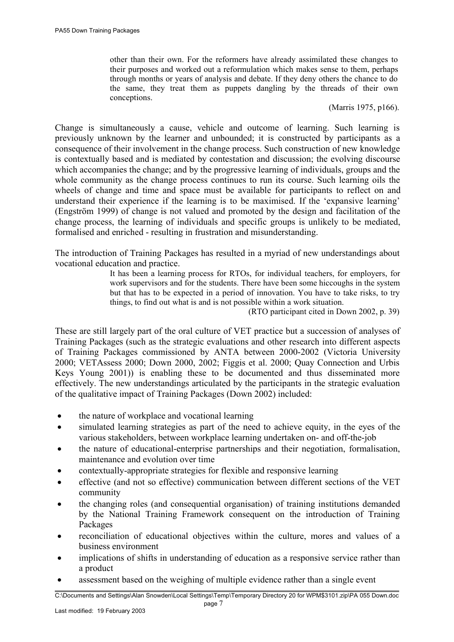other than their own. For the reformers have already assimilated these changes to their purposes and worked out a reformulation which makes sense to them, perhaps through months or years of analysis and debate. If they deny others the chance to do the same, they treat them as puppets dangling by the threads of their own conceptions.

(Marris 1975, p166).

Change is simultaneously a cause, vehicle and outcome of learning. Such learning is previously unknown by the learner and unbounded; it is constructed by participants as a consequence of their involvement in the change process. Such construction of new knowledge is contextually based and is mediated by contestation and discussion; the evolving discourse which accompanies the change; and by the progressive learning of individuals, groups and the whole community as the change process continues to run its course. Such learning oils the wheels of change and time and space must be available for participants to reflect on and understand their experience if the learning is to be maximised. If the 'expansive learning' (Engström 1999) of change is not valued and promoted by the design and facilitation of the change process, the learning of individuals and specific groups is unlikely to be mediated, formalised and enriched - resulting in frustration and misunderstanding.

The introduction of Training Packages has resulted in a myriad of new understandings about vocational education and practice.

It has been a learning process for RTOs, for individual teachers, for employers, for work supervisors and for the students. There have been some hiccoughs in the system but that has to be expected in a period of innovation. You have to take risks, to try things, to find out what is and is not possible within a work situation.

(RTO participant cited in Down 2002, p. 39)

These are still largely part of the oral culture of VET practice but a succession of analyses of Training Packages (such as the strategic evaluations and other research into different aspects of Training Packages commissioned by ANTA between 2000-2002 (Victoria University 2000; VETAssess 2000; Down 2000, 2002; Figgis et al. 2000; Quay Connection and Urbis Keys Young 2001)) is enabling these to be documented and thus disseminated more effectively. The new understandings articulated by the participants in the strategic evaluation of the qualitative impact of Training Packages (Down 2002) included:

- the nature of workplace and vocational learning
- simulated learning strategies as part of the need to achieve equity, in the eyes of the various stakeholders, between workplace learning undertaken on- and off-the-job
- the nature of educational-enterprise partnerships and their negotiation, formalisation, maintenance and evolution over time
- contextually-appropriate strategies for flexible and responsive learning
- effective (and not so effective) communication between different sections of the VET community
- the changing roles (and consequential organisation) of training institutions demanded by the National Training Framework consequent on the introduction of Training Packages
- reconciliation of educational objectives within the culture, mores and values of a business environment
- implications of shifts in understanding of education as a responsive service rather than a product
- assessment based on the weighing of multiple evidence rather than a single event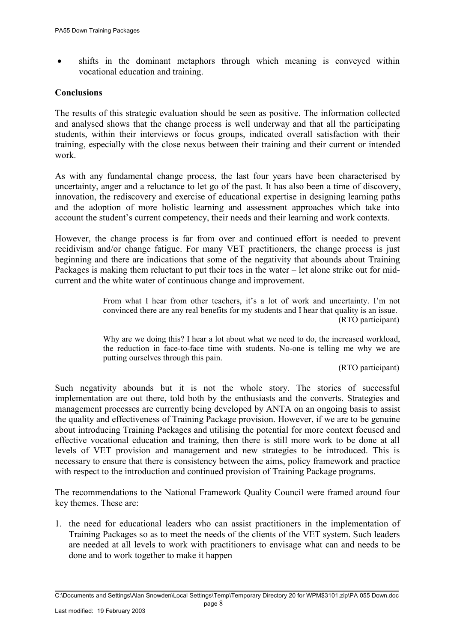shifts in the dominant metaphors through which meaning is conveyed within vocational education and training.

#### **Conclusions**

The results of this strategic evaluation should be seen as positive. The information collected and analysed shows that the change process is well underway and that all the participating students, within their interviews or focus groups, indicated overall satisfaction with their training, especially with the close nexus between their training and their current or intended work.

As with any fundamental change process, the last four years have been characterised by uncertainty, anger and a reluctance to let go of the past. It has also been a time of discovery, innovation, the rediscovery and exercise of educational expertise in designing learning paths and the adoption of more holistic learning and assessment approaches which take into account the student's current competency, their needs and their learning and work contexts.

However, the change process is far from over and continued effort is needed to prevent recidivism and/or change fatigue. For many VET practitioners, the change process is just beginning and there are indications that some of the negativity that abounds about Training Packages is making them reluctant to put their toes in the water – let alone strike out for midcurrent and the white water of continuous change and improvement.

> From what I hear from other teachers, it's a lot of work and uncertainty. I'm not convinced there are any real benefits for my students and I hear that quality is an issue. (RTO participant)

> Why are we doing this? I hear a lot about what we need to do, the increased workload, the reduction in face-to-face time with students. No-one is telling me why we are putting ourselves through this pain.

> > (RTO participant)

Such negativity abounds but it is not the whole story. The stories of successful implementation are out there, told both by the enthusiasts and the converts. Strategies and management processes are currently being developed by ANTA on an ongoing basis to assist the quality and effectiveness of Training Package provision. However, if we are to be genuine about introducing Training Packages and utilising the potential for more context focused and effective vocational education and training, then there is still more work to be done at all levels of VET provision and management and new strategies to be introduced. This is necessary to ensure that there is consistency between the aims, policy framework and practice with respect to the introduction and continued provision of Training Package programs.

The recommendations to the National Framework Quality Council were framed around four key themes. These are:

1. the need for educational leaders who can assist practitioners in the implementation of Training Packages so as to meet the needs of the clients of the VET system. Such leaders are needed at all levels to work with practitioners to envisage what can and needs to be done and to work together to make it happen

C:\Documents and Settings\Alan Snowden\Local Settings\Temp\Temporary Directory 20 for WPM\$3101.zip\PA 055 Down.doc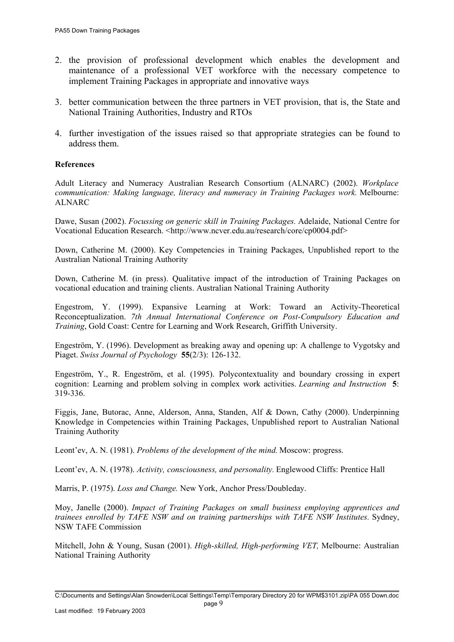- 2. the provision of professional development which enables the development and maintenance of a professional VET workforce with the necessary competence to implement Training Packages in appropriate and innovative ways
- 3. better communication between the three partners in VET provision, that is, the State and National Training Authorities, Industry and RTOs
- 4. further investigation of the issues raised so that appropriate strategies can be found to address them.

#### **References**

Adult Literacy and Numeracy Australian Research Consortium (ALNARC) (2002). *Workplace communication: Making language, literacy and numeracy in Training Packages work.* Melbourne: ALNARC

Dawe, Susan (2002). *Focussing on generic skill in Training Packages.* Adelaide, National Centre for Vocational Education Research. <http://www.ncver.edu.au/research/core/cp0004.pdf>

Down, Catherine M. (2000). Key Competencies in Training Packages, Unpublished report to the Australian National Training Authority

Down, Catherine M. (in press). Qualitative impact of the introduction of Training Packages on vocational education and training clients. Australian National Training Authority

Engestrom, Y. (1999). Expansive Learning at Work: Toward an Activity-Theoretical Reconceptualization. *7th Annual International Conference on Post-Compulsory Education and Training*, Gold Coast: Centre for Learning and Work Research, Griffith University.

Engeström, Y. (1996). Development as breaking away and opening up: A challenge to Vygotsky and Piaget. *Swiss Journal of Psychology* **55**(2/3): 126-132.

Engeström, Y., R. Engeström, et al. (1995). Polycontextuality and boundary crossing in expert cognition: Learning and problem solving in complex work activities. *Learning and Instruction* **5**: 319-336.

Figgis, Jane, Butorac, Anne, Alderson, Anna, Standen, Alf & Down, Cathy (2000). Underpinning Knowledge in Competencies within Training Packages, Unpublished report to Australian National Training Authority

Leont'ev, A. N. (1981). *Problems of the development of the mind.* Moscow: progress.

Leont'ev, A. N. (1978). *Activity, consciousness, and personality.* Englewood Cliffs: Prentice Hall

Marris, P. (1975). *Loss and Change.* New York, Anchor Press/Doubleday.

Moy, Janelle (2000). *Impact of Training Packages on small business employing apprentices and trainees enrolled by TAFE NSW and on training partnerships with TAFE NSW Institutes.* Sydney, NSW TAFE Commission

Mitchell, John & Young, Susan (2001). *High-skilled, High-performing VET,* Melbourne: Australian National Training Authority

C:\Documents and Settings\Alan Snowden\Local Settings\Temp\Temporary Directory 20 for WPM\$3101.zip\PA 055 Down.doc